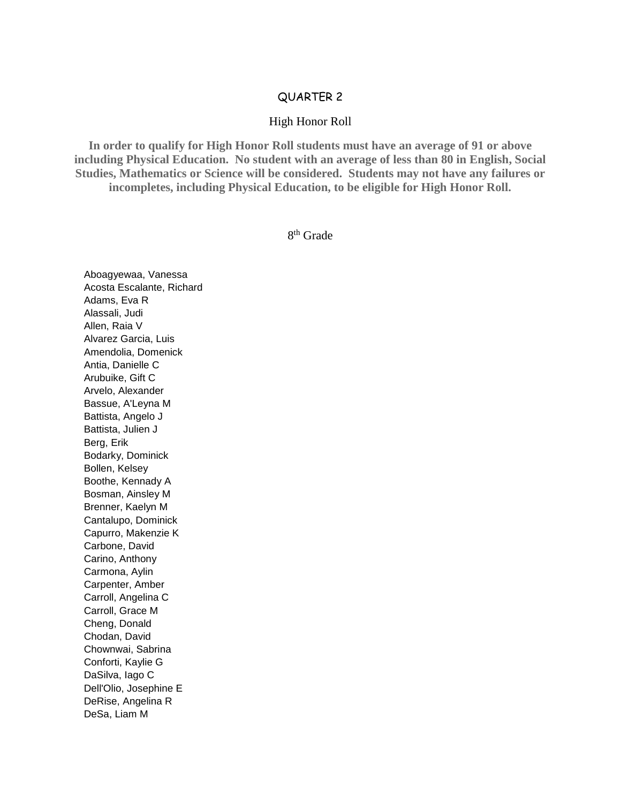## QUARTER 2

## High Honor Roll

**In order to qualify for High Honor Roll students must have an average of 91 or above including Physical Education. No student with an average of less than 80 in English, Social Studies, Mathematics or Science will be considered. Students may not have any failures or incompletes, including Physical Education, to be eligible for High Honor Roll.**

8 th Grade

Aboagyewaa, Vanessa Acosta Escalante, Richard Adams, Eva R Alassali, Judi Allen, Raia V Alvarez Garcia, Luis Amendolia, Domenick Antia, Danielle C Arubuike, Gift C Arvelo, Alexander Bassue, A'Leyna M Battista, Angelo J Battista, Julien J Berg, Erik Bodarky, Dominick Bollen, Kelsey Boothe, Kennady A Bosman, Ainsley M Brenner, Kaelyn M Cantalupo, Dominick Capurro, Makenzie K Carbone, David Carino, Anthony Carmona, Aylin Carpenter, Amber Carroll, Angelina C Carroll, Grace M Cheng, Donald Chodan, David Chownwai, Sabrina Conforti, Kaylie G DaSilva, Iago C Dell'Olio, Josephine E DeRise, Angelina R DeSa, Liam M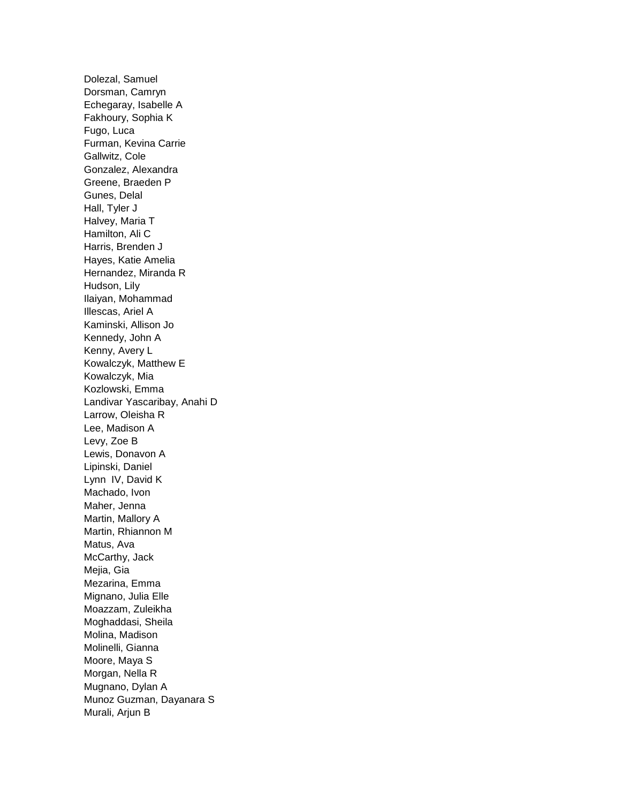Dolezal, Samuel Dorsman, Camryn Echegaray, Isabelle A Fakhoury, Sophia K Fugo, Luca Furman, Kevina Carrie Gallwitz, Cole Gonzalez, Alexandra Greene, Braeden P Gunes, Delal Hall, Tyler J Halvey, Maria T Hamilton, Ali C Harris, Brenden J Hayes, Katie Amelia Hernandez, Miranda R Hudson, Lily Ilaiyan, Mohammad Illescas, Ariel A Kaminski, Allison Jo Kennedy, John A Kenny, Avery L Kowalczyk, Matthew E Kowalczyk, Mia Kozlowski, Emma Landivar Yascaribay, Anahi D Larrow, Oleisha R Lee, Madison A Levy, Zoe B Lewis, Donavon A Lipinski, Daniel Lynn IV, David K Machado, Ivon Maher, Jenna Martin, Mallory A Martin, Rhiannon M Matus, Ava McCarthy, Jack Mejia, Gia Mezarina, Emma Mignano, Julia Elle Moazzam, Zuleikha Moghaddasi, Sheila Molina, Madison Molinelli, Gianna Moore, Maya S Morgan, Nella R Mugnano, Dylan A Munoz Guzman, Dayanara S Murali, Arjun B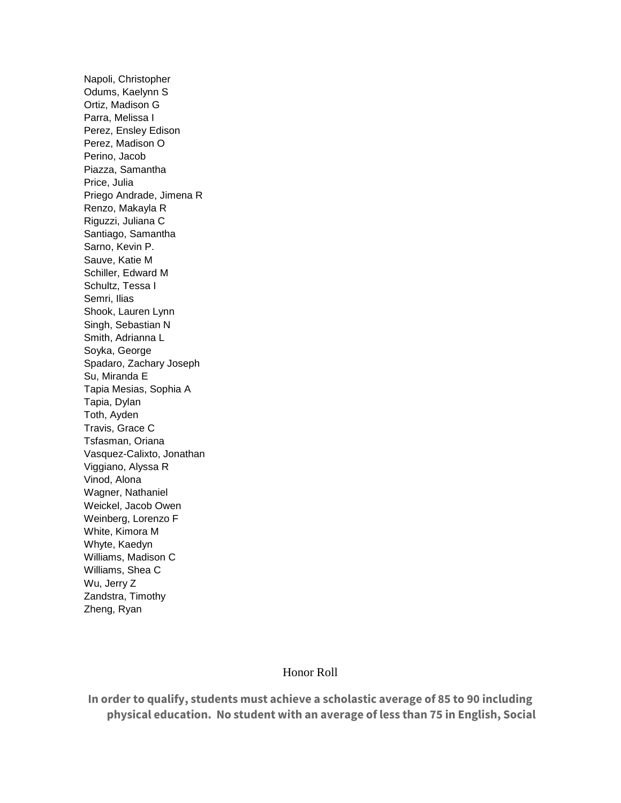Napoli, Christopher Odums, Kaelynn S Ortiz, Madison G Parra, Melissa I Perez, Ensley Edison Perez, Madison O Perino, Jacob Piazza, Samantha Price, Julia Priego Andrade, Jimena R Renzo, Makayla R Riguzzi, Juliana C Santiago, Samantha Sarno, Kevin P. Sauve, Katie M Schiller, Edward M Schultz, Tessa I Semri, Ilias Shook, Lauren Lynn Singh, Sebastian N Smith, Adrianna L Soyka, George Spadaro, Zachary Joseph Su, Miranda E Tapia Mesias, Sophia A Tapia, Dylan Toth, Ayden Travis, Grace C Tsfasman, Oriana Vasquez-Calixto, Jonathan Viggiano, Alyssa R Vinod, Alona Wagner, Nathaniel Weickel, Jacob Owen Weinberg, Lorenzo F White, Kimora M Whyte, Kaedyn Williams, Madison C Williams, Shea C Wu, Jerry Z Zandstra, Timothy Zheng, Ryan

## Honor Roll

**In order to qualify, students must achieve a scholastic average of 85 to 90 including physical education. No student with an average of less than 75 in English, Social**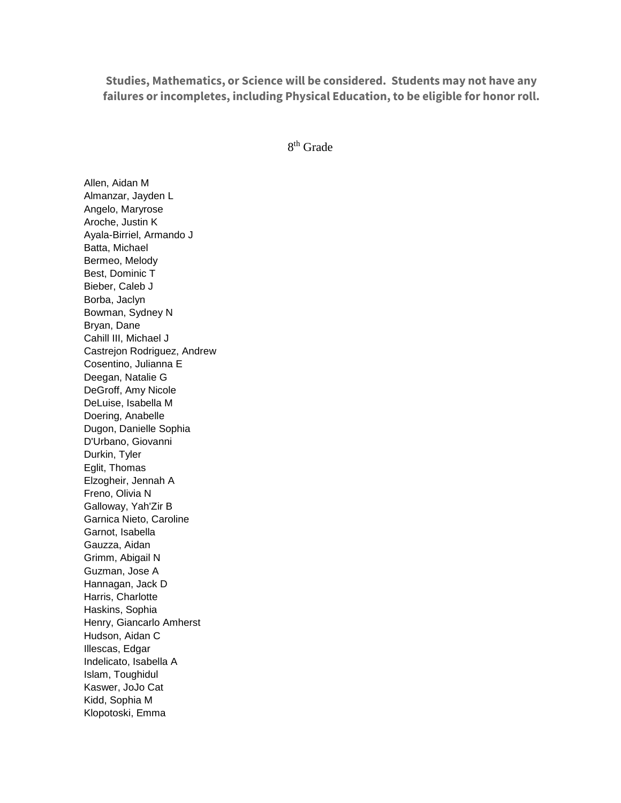## **Studies, Mathematics, or Science will be considered. Students may not have any failures or incompletes, including Physical Education, to be eligible for honor roll.**

8<sup>th</sup> Grade

Allen, Aidan M Almanzar, Jayden L Angelo, Maryrose Aroche, Justin K Ayala-Birriel, Armando J Batta, Michael Bermeo, Melody Best, Dominic T Bieber, Caleb J Borba, Jaclyn Bowman, Sydney N Bryan, Dane Cahill III, Michael J Castrejon Rodriguez, Andrew Cosentino, Julianna E Deegan, Natalie G DeGroff, Amy Nicole DeLuise, Isabella M Doering, Anabelle Dugon, Danielle Sophia D'Urbano, Giovanni Durkin, Tyler Eglit, Thomas Elzogheir, Jennah A Freno, Olivia N Galloway, Yah'Zir B Garnica Nieto, Caroline Garnot, Isabella Gauzza, Aidan Grimm, Abigail N Guzman, Jose A Hannagan, Jack D Harris, Charlotte Haskins, Sophia Henry, Giancarlo Amherst Hudson, Aidan C Illescas, Edgar Indelicato, Isabella A Islam, Toughidul Kaswer, JoJo Cat Kidd, Sophia M Klopotoski, Emma